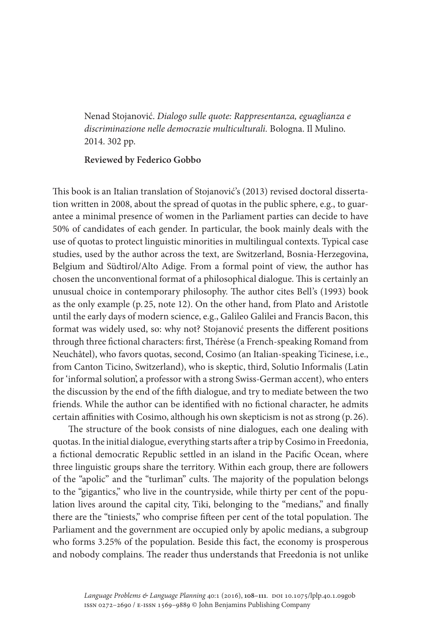Nenad Stojanović. *Dialogo sulle quote: Rappresentanza, eguaglianza e discriminazione nelle democrazie multiculturali.* Bologna. Il Mulino. 2014. 302 pp.

## **Reviewed by Federico Gobbo**

This book is an Italian translation of Stojanović's (2013) revised doctoral dissertation written in 2008, about the spread of quotas in the public sphere, e.g., to guarantee a minimal presence of women in the Parliament parties can decide to have 50% of candidates of each gender. In particular, the book mainly deals with the use of quotas to protect linguistic minorities in multilingual contexts. Typical case studies, used by the author across the text, are Switzerland, Bosnia-Herzegovina, Belgium and Südtirol/Alto Adige. From a formal point of view, the author has chosen the unconventional format of a philosophical dialogue. This is certainly an unusual choice in contemporary philosophy. The author cites Bell's (1993) book as the only example (p. 25, note 12). On the other hand, from Plato and Aristotle until the early days of modern science, e.g., Galileo Galilei and Francis Bacon, this format was widely used, so: why not? Stojanović presents the different positions through three fictional characters: first, Thérèse (a French-speaking Romand from Neuchâtel), who favors quotas, second, Cosimo (an Italian-speaking Ticinese, i.e., from Canton Ticino, Switzerland), who is skeptic, third, Solutio Informalis (Latin for 'informal solution', a professor with a strong Swiss-German accent), who enters the discussion by the end of the fifth dialogue, and try to mediate between the two friends. While the author can be identified with no fictional character, he admits certain affinities with Cosimo, although his own skepticism is not as strong (p. 26).

The structure of the book consists of nine dialogues, each one dealing with quotas. In the initial dialogue, everything starts after a trip by Cosimo in Freedonia, a fictional democratic Republic settled in an island in the Pacific Ocean, where three linguistic groups share the territory. Within each group, there are followers of the "apolic" and the "turliman" cults. The majority of the population belongs to the "gigantics," who live in the countryside, while thirty per cent of the population lives around the capital city, Tiki, belonging to the "medians," and finally there are the "tiniests," who comprise fifteen per cent of the total population. The Parliament and the government are occupied only by apolic medians, a subgroup who forms 3.25% of the population. Beside this fact, the economy is prosperous and nobody complains. The reader thus understands that Freedonia is not unlike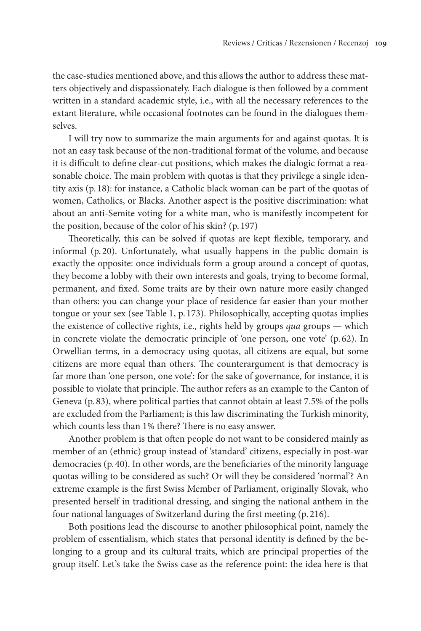the case-studies mentioned above, and this allows the author to address these matters objectively and dispassionately. Each dialogue is then followed by a comment written in a standard academic style, i.e., with all the necessary references to the extant literature, while occasional footnotes can be found in the dialogues themselves.

I will try now to summarize the main arguments for and against quotas. It is not an easy task because of the non-traditional format of the volume, and because it is difficult to define clear-cut positions, which makes the dialogic format a reasonable choice. The main problem with quotas is that they privilege a single identity axis (p. 18): for instance, a Catholic black woman can be part of the quotas of women, Catholics, or Blacks. Another aspect is the positive discrimination: what about an anti-Semite voting for a white man, who is manifestly incompetent for the position, because of the color of his skin? (p. 197)

Theoretically, this can be solved if quotas are kept flexible, temporary, and informal (p. 20). Unfortunately, what usually happens in the public domain is exactly the opposite: once individuals form a group around a concept of quotas, they become a lobby with their own interests and goals, trying to become formal, permanent, and fixed. Some traits are by their own nature more easily changed than others: you can change your place of residence far easier than your mother tongue or your sex (see Table 1, p. 173). Philosophically, accepting quotas implies the existence of collective rights, i.e., rights held by groups *qua* groups — which in concrete violate the democratic principle of 'one person, one vote' (p. 62). In Orwellian terms, in a democracy using quotas, all citizens are equal, but some citizens are more equal than others. The counterargument is that democracy is far more than 'one person, one vote': for the sake of governance, for instance, it is possible to violate that principle. The author refers as an example to the Canton of Geneva (p. 83), where political parties that cannot obtain at least 7.5% of the polls are excluded from the Parliament; is this law discriminating the Turkish minority, which counts less than 1% there? There is no easy answer.

Another problem is that often people do not want to be considered mainly as member of an (ethnic) group instead of 'standard' citizens, especially in post-war democracies (p. 40). In other words, are the beneficiaries of the minority language quotas willing to be considered as such? Or will they be considered 'normal'? An extreme example is the first Swiss Member of Parliament, originally Slovak, who presented herself in traditional dressing, and singing the national anthem in the four national languages of Switzerland during the first meeting (p. 216).

Both positions lead the discourse to another philosophical point, namely the problem of essentialism, which states that personal identity is defined by the belonging to a group and its cultural traits, which are principal properties of the group itself. Let's take the Swiss case as the reference point: the idea here is that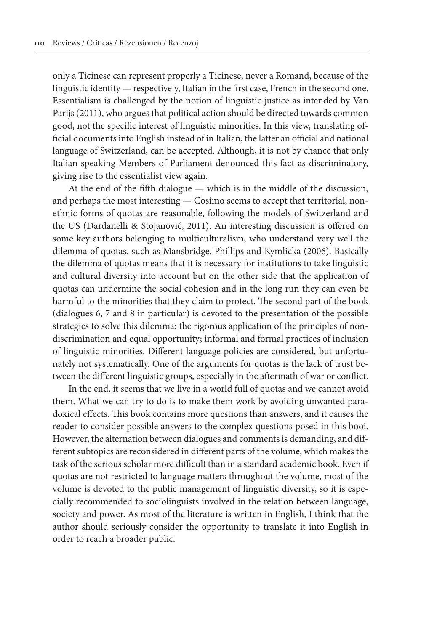only a Ticinese can represent properly a Ticinese, never a Romand, because of the linguistic identity — respectively, Italian in the first case, French in the second one. Essentialism is challenged by the notion of linguistic justice as intended by Van Parijs (2011), who argues that political action should be directed towards common good, not the specific interest of linguistic minorities. In this view, translating official documents into English instead of in Italian, the latter an official and national language of Switzerland, can be accepted. Although, it is not by chance that only Italian speaking Members of Parliament denounced this fact as discriminatory, giving rise to the essentialist view again.

At the end of the fifth dialogue — which is in the middle of the discussion, and perhaps the most interesting — Cosimo seems to accept that territorial, nonethnic forms of quotas are reasonable, following the models of Switzerland and the US (Dardanelli & Stojanović, 2011). An interesting discussion is offered on some key authors belonging to multiculturalism, who understand very well the dilemma of quotas, such as Mansbridge, Phillips and Kymlicka (2006). Basically the dilemma of quotas means that it is necessary for institutions to take linguistic and cultural diversity into account but on the other side that the application of quotas can undermine the social cohesion and in the long run they can even be harmful to the minorities that they claim to protect. The second part of the book (dialogues 6, 7 and 8 in particular) is devoted to the presentation of the possible strategies to solve this dilemma: the rigorous application of the principles of nondiscrimination and equal opportunity; informal and formal practices of inclusion of linguistic minorities. Different language policies are considered, but unfortunately not systematically. One of the arguments for quotas is the lack of trust between the different linguistic groups, especially in the aftermath of war or conflict.

In the end, it seems that we live in a world full of quotas and we cannot avoid them. What we can try to do is to make them work by avoiding unwanted paradoxical effects. This book contains more questions than answers, and it causes the reader to consider possible answers to the complex questions posed in this booi. However, the alternation between dialogues and comments is demanding, and different subtopics are reconsidered in different parts of the volume, which makes the task of the serious scholar more difficult than in a standard academic book. Even if quotas are not restricted to language matters throughout the volume, most of the volume is devoted to the public management of linguistic diversity, so it is especially recommended to sociolinguists involved in the relation between language, society and power. As most of the literature is written in English, I think that the author should seriously consider the opportunity to translate it into English in order to reach a broader public.